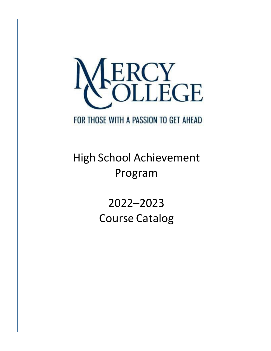

# FOR THOSE WITH A PASSION TO GET AHEAD

# High School Achievement Program

2022–2023 Course Catalog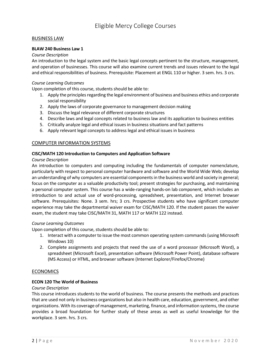#### BUSINESS LAW

#### **BLAW 240 Business Law 1**

#### *Course Description*

An introduction to the legal system and the basic legal concepts pertinent to the structure, management, and operation of businesses. This course will also examine current trends and issues relevant to the legal and ethical responsibilities of business. Prerequisite: Placement at ENGL 110 or higher. 3 sem. hrs. 3 crs.

#### *Course Learning Outcomes*

Upon completion of this course, students should be able to:

- 1. Apply the principles regarding the legal environment of business and business ethics and corporate social responsibility
- 2. Apply the laws of corporate governance to management decision making
- 3. Discuss the legal relevance of different corporate structures
- 4. Describe laws and legal concepts related to business law and its application to business entities
- 5. Critically analyze legal and ethical issues in business situations and fact patterns
- 6. Apply relevant legal concepts to address legal and ethical issues in business

#### COMPUTER INFORMATION SYSTEMS

#### **CISC/MATH 120 Introduction to Computers and Application Software**

#### *Course Description*

An introduction to computers and computing including the fundamentals of computer nomenclature, particularly with respect to personal computer hardware and software and the World Wide Web; develop an understanding of why computers are essential components in the business world and society in general; focus on the computer as a valuable productivity tool; present strategies for purchasing, and maintaining a personal computer system. This course has a wide-ranging hands-on lab component, which includes an introduction to and actual use of word-processing, spreadsheet, presentation, and Internet browser software. Prerequisites: None. 3 sem. hrs; 3 crs. Prospective students who have significant computer experience may take the departmental waiver exam for CISC/MATH 120. If the student passes the waiver exam, the student may take CISC/MATH 31, MATH 117 or MATH 122 instead.

#### *Course Learning Outcomes*

Upon completion of this course, students should be able to:

- 1. Interact with a computer to issue the most common operating system commands (using Microsoft Windows 10)
- 2. Complete assignments and projects that need the use of a word processor (Microsoft Word), a spreadsheet (Microsoft Excel), presentation software (Microsoft Power Point), database software (MS Access) or HTML, and browser software (Internet Explorer/Firefox/Chrome)

#### ECONOMICS

#### **ECON 120 The World of Business**

#### *Course Description*

This course introduces students to the world of business. The course presents the methods and practices that are used not only in business organizations but also in health care, education, government, and other organizations. With its coverage of management, marketing, finance, and information systems, the course provides a broad foundation for further study of these areas as well as useful knowledge for the workplace. 3 sem. hrs. 3 crs.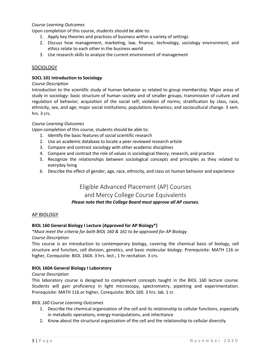#### *Course Learning Outcomes*

Upon completion of this course, students should be able to:

- 1. Apply key theories and practices of business within a variety of settings
- 2. Discuss how management, marketing, law, finance, technology, sociology environment, and ethics relate to each other in the business world
- 3. Use research skills to analyze the current environment of management

#### SOCIOLOGY

#### **SOCL 101 Introduction to Sociology**

#### *Course Description*

Introduction to the scientific study of human behavior as related to group membership. Major areas of study in sociology: basic structure of human society and of smaller groups; transmission of culture and regulation of behavior; acquisition of the social self; violation of norms; stratification by class, race, ethnicity, sex, and age; major social institutions; populations dynamics; and sociocultural change. 3 sem. hrs. 3 crs.

#### *Course Learning Outcomes*

Upon completion of this course, students should be able to:

- 1. Identify the basic features of social scientific research
- 2. Use an academic database to locate a peer reviewed research article
- 3. Compare and contrast sociology with other academic disciplines
- 4. Compare and contrast the role of values in sociological theory, research, and practice
- 5. Recognize the relationships between sociological concepts and principles as they related to everyday living
- 6. Describe the effect of gender, age, race, ethnicity, and class on human behavior and experience

# Eligible Advanced Placement (AP) Courses and Mercy College Course Equivalents *Please note that the College Board must approve all AP courses.*

#### AP BIOLOGY

#### **BIOL 160 General Biology I Lecture (Approved for AP Biology\*)**

# *\*Must meet the criteria for both BIOL 160 & 161 to be approved for AP Biology*

*Course Description* 

This course is an introduction to contemporary biology, covering the chemical basis of biology, cell structure and function, cell division, genetics, and basic molecular biology. Prerequisite: MATH 116 or higher, Corequisite: BIOL 160A. 3 hrs. lect., 1 hr recitation. 3 crs.

#### **BIOL 160A General Biology I Laboratory**

#### *Course Description*

This laboratory course is designed to complement concepts taught in the BIOL 160 lecture course. Students will gain proficiency in light microscopy, spectrometry, pipetting and experimentation. Prerequisite: MATH 116 or higher, Corequisite: BIOL 160. 3 hrs. lab. 1 cr.

#### *BIOL 160 Course Learning Outcomes*

- 1. Describe the chemical organization of the cell and its relationship to cellular functions, especially in metabolic operations, energy manipulations, and inheritance
- 2. Know about the structural organization of the cell and the relationship to cellular diversity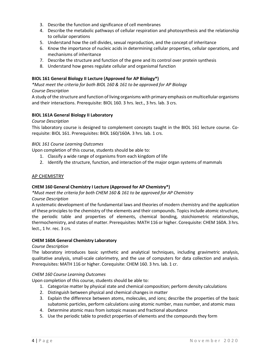- 3. Describe the function and significance of cell membranes
- 4. Describe the metabolic pathways of cellular respiration and photosynthesis and the relationship to cellular operations
- 5. Understand how the cell divides, sexual reproduction, and the concept of inheritance
- 6. Know the importance of nucleic acids in determining cellular properties, cellular operations, and mechanisms of inheritance
- 7. Describe the structure and function of the gene and its control over protein synthesis
- 8. Understand how genes regulate cellular and organismal function

#### **BIOL 161 General Biology II Lecture (Approved for AP Biology\*)**

*\*Must meet the criteria for both BIOL 160 & 161 to be approved for AP Biology*

#### *Course Description*

A study of the structure and function of living organisms with primary emphasis on multicellular organisms and their interactions. Prerequisite: BIOL 160. 3 hrs. lect., 3 hrs. lab. 3 crs.

#### **BIOL 161A General Biology II Laboratory**

#### *Course Description*

This laboratory course is designed to complement concepts taught in the BIOL 161 lecture course. Corequisite: BIOL 161. Prerequisites: BIOL 160/160A. 3 hrs. lab. 1 crs.

#### *BIOL 161 Course Learning Outcomes*

Upon completion of this course, students should be able to:

- 1. Classify a wide range of organisms from each kingdom of life
- 2. Identify the structure, function, and interaction of the major organ systems of mammals

#### AP CHEMISTRY

#### **CHEM 160 General Chemistry I Lecture (Approved for AP Chemistry\*)**

*\*Must meet the criteria for both CHEM 160 & 161 to be approved for AP Chemistry Course Description* 

A systematic development of the fundamental laws and theories of modern chemistry and the application of these principles to the chemistry of the elements and their compounds. Topics include atomic structure, the periodic table and properties of elements, chemical bonding, stoichiometric relationships, thermochemistry, and states of matter. Prerequisites: MATH 116 or higher. Corequisite: CHEM 160A. 3 hrs. lect., 1 hr. rec. 3 crs.

#### **CHEM 160A General Chemistry Laboratory**

#### *Course Description*

The laboratory introduces basic synthetic and analytical techniques, including gravimetric analysis, qualitative analysis, small-scale calorimetry, and the use of computers for data collection and analysis. Prerequisites: MATH 116 or higher. Corequisite: CHEM 160. 3 hrs. lab. 1 cr.

#### *CHEM 160 Course Learning Outcomes*

- 1. Categorize matter by physical state and chemical composition; perform density calculations
- 2. Distinguish between physical and chemical changes in matter
- 3. Explain the difference between atoms, molecules, and ions; describe the properties of the basic subatomic particles, perform calculations using atomic number, mass number, and atomic mass
- 4. Determine atomic mass from isotopic masses and fractional abundance
- 5. Use the periodic table to predict properties of elements and the compounds they form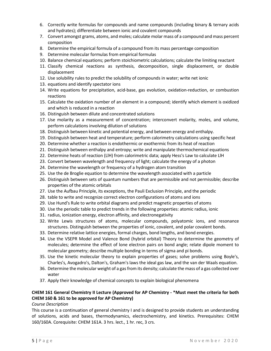- 6. Correctly write formulas for compounds and name compounds (including binary & ternary acids and hydrates); differentiate between ionic and covalent compounds
- 7. Convert amongst grams, atoms, and moles; calculate molar mass of a compound and mass percent composition
- 8. Determine the empirical formula of a compound from its mass percentage composition
- 9. Determine molecular formulas from empirical formulas
- 10. Balance chemical equations; perform stoichiometric calculations; calculate the limiting reactant
- 11. Classify chemical reactions as synthesis, decomposition, single displacement, or double displacement
- 12. Use solubility rules to predict the solubility of compounds in water; write net ionic
- 13. equations and identify spectator ions
- 14. Write equations for precipitation, acid-base, gas evolution, oxidation-reduction, or combustion reactions
- 15. Calculate the oxidation number of an element in a compound; identify which element is oxidized and which is reduced in a reaction
- 16. Distinguish between dilute and concentrated solutions
- 17. Use molarity as a measurement of concentration; interconvert molarity, moles, and volume, perform calculations involving dilution of solutions
- 18. Distinguish between kinetic and potential energy, and between energy and enthalpy.
- 19. Distinguish between heat and temperature; perform calorimetry calculations using specific heat
- 20. Determine whether a reaction is endothermic or exothermic from its heat of reaction
- 21. Distinguish between enthalpy and entropy; write and manipulate thermochemical equations
- 22. Determine heats of reaction (LlH) from calorimetric data; apply Hess's Law to calculate LlH
- 23. Convert between wavelength and frequency of light; calculate the energy of a photon
- 24. Determine the wavelength or frequency of a hydrogen atom transition
- 25. Use the de Broglie equation to determine the wavelength associated with a particle
- 26. Distinguish between sets of quantum numbers that are permissible and not permissible; describe properties of the atomic orbitals
- 27. Use the Aufbau Principle, its exceptions, the Pauli Exclusion Principle, and the periodic
- 28. table to write and recognize correct electron configurations of atoms and ions
- 29. Use Hund's Rule to write orbital diagrams and predict magnetic properties of atoms
- 30. Use the periodic table to predict trends in the following properties: atomic radius, ionic
- 31. radius, ionization energy, electron affinity, and electronegativity
- 32. Write Lewis structures of atoms, molecular compounds, polyatomic ions, and resonance structures. Distinguish between the properties of ionic, covalent, and polar covalent bonds.
- 33. Determine relative lattice energies, formal charges, bond lengths, and bond energies.
- 34. Use the VSEPR Model and Valence Bond (hybrid orbital) Theory to determine the geometry of molecules; determine the effect of lone electron pairs on bond angle; relate dipole moment to molecular geometry; describe multiple bonding in terms of sigma and pi bonds.
- 35. Use the kinetic molecular theory to explain properties of gases; solve problems using Boyle's, Charles's, Avogadro's, Dalton's, Graham's laws the ideal gas law, and the van der Waals equation.
- 36. Determine the molecular weight of a gas from its density; calculate the mass of a gas collected over water
- 37. Apply their knowledge of chemical concepts to explain biological phenomena

### **CHEM 161 General Chemistry II Lecture (Approved for AP Chemistry - \*Must meet the criteria for both CHEM 160 & 161 to be approved for AP Chemistry)**

#### *Course Description*

This course is a continuation of general chemistry I and is designed to provide students an understanding of solutions, acids and bases, thermodynamics, electrochemistry, and kinetics. Prerequisites: CHEM 160/160A. Corequisite: CHEM 161A. 3 hrs. lect., 1 hr. rec, 3 crs.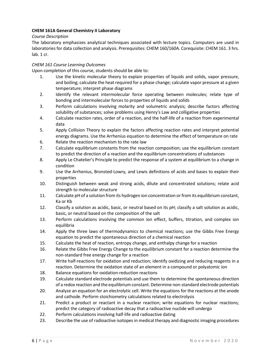#### **CHEM 161A General Chemistry II Laboratory**

#### *Course Description*

The laboratory emphasizes analytical techniques associated with lecture topics. Computers are used in laboratories for data collection and analysis. Prerequisites: CHEM 160/160A. Corequisite: CHEM 161. 3 hrs. lab. 1 cr.

#### *CHEM 161 Course Learning Outcomes*

- 1. Use the kinetic molecular theory to explain properties of liquids and solids, vapor pressure, and boiling; calculate the heat required for a phase change; calculate vapor pressure at a given temperature; interpret phase diagrams
- 2. Identify the relevant intermolecular force operating between molecules; relate type of bonding and intermolecular forces to properties of liquids and solids
- 3. Perform calculations involving molarity and volumetric analysis; describe factors affecting solubility of substances; solve problems using Henry's Law and colligative properties
- 4. Calculate reaction rates, order of a reaction, and the half-life of a reaction from experimental data
- 5. Apply Collision Theory to explain the factors affecting reaction rates and interpret potential energy diagrams. Use the Arrhenius equation to determine the effect of temperature on rate
- 6. Relate the reaction mechanism to the rate law
- 7. Calculate equilibrium constants from the reaction composition; use the equilibrium constant to predict the direction of a reaction and the equilibrium concentrations of substances
- 8. Apply Le Chatelier's Principle to predict the response of a system at equilibrium to a change in condition
- 9. Use the Arrhenius, Bronsted-Lowry, and Lewis definitions of acids and bases to explain their properties
- 10. Distinguish between weak and strong acids, dilute and concentrated solutions; relate acid strength to molecular structure
- 11. Calculate pH of a solution from its hydrogen ion concentration or from its equilibrium constant, Ka or Kb
- 12. Classify a solution as acidic, basic, or neutral based on its pH; classify a salt solution as acidic, basic, or neutral based on the composition of the salt
- 13. Perform calculations involving the common ion effect, buffers, titration, and complex ion equilibria
- 14. Apply the three laws of thermodynamics to chemical reactions; use the Gibbs Free Energy equation to predict the spontaneous direction of a chemical reaction
- 15. Calculate the heat of reaction, entropy change, and enthalpy change for a reaction
- 16. Relate the Gibbs Free Energy Change to the equilibrium constant for a reaction determine the non-standard free energy change for a reaction
- 17. Write half-reactions for oxidation and reduction; identify oxidizing and reducing reagents in a reaction. Determine the oxidation state of an element in a compound or polyatomic ion
- 18. Balance equations for oxidation-reduction reactions
- 19. Calculate standard electrode potentials and use them to determine the spontaneous direction of a redox reaction and the equilibrium constant. Determine non-standard electrode potentials
- 20. Analyze an equation for an electrolytic cell. Write the equations for the reactions at the anode and cathode. Perform stoichiometry calculations related to electrolysis
- 21. Predict a product or reactant in a nuclear reaction; write equations for nuclear reactions; predict the category of radioactive decay that a radioactive nuclide will undergo
- 22. Perform calculations involving half-life and radioactive dating
- 23. Describe the use of radioactive isotopes in medical therapy and diagnostic imaging procedures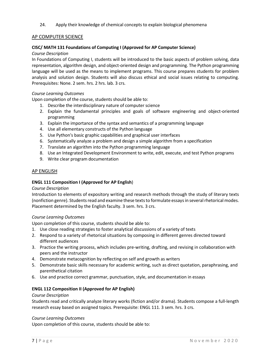24. Apply their knowledge of chemical concepts to explain biological phenomena

#### AP COMPUTER SCIENCE

#### **CISC/ MATH 131 Foundations of Computing I (Approved for AP Computer Science)**

#### *Course Description*

In Foundations of Computing I, students will be introduced to the basic aspects of problem solving, data representation, algorithm design, and object-oriented design and programming. The Python programming language will be used as the means to implement programs. This course prepares students for problem analysis and solution design. Students will also discuss ethical and social issues relating to computing. Prerequisites: None. 2 sem. hrs. 2 hrs. lab. 3 crs.

#### *Course Learning Outcomes*

Upon completion of the course, students should be able to:

- 1. Describe the interdisciplinary nature of computer science
- 2. Explain the fundamental principles and goals of software engineering and object-oriented programming
- 3. Explain the importance of the syntax and semantics of a programming language
- 4. Use all elementary constructs of the Python language
- 5. Use Python's basic graphic capabilities and graphical user interfaces
- 6. Systematically analyze a problem and design a simple algorithm from a specification
- 7. Translate an algorithm into the Python programming language
- 8. Use an Integrated Development Environment to write, edit, execute, and test Python programs
- 9. Write clear program documentation

#### AP ENGLISH

#### **ENGL 111 Composition I (Approved for AP English**)

#### *Course Description*

Introduction to elements of expository writing and research methods through the study of literary texts (nonfiction genre). Students read and examine these texts to formulate essays in several rhetorical modes. Placement determined by the English faculty. 3 sem. hrs. 3 crs.

#### *Course Learning Outcomes*

Upon completion of this course, students should be able to:

- 1. Use close reading strategies to foster analytical discussions of a variety of texts
- 2. Respond to a variety of rhetorical situations by composing in different genres directed toward different audiences
- 3. Practice the writing process, which includes pre-writing, drafting, and revising in collaboration with peers and the instructor
- 4. Demonstrate metacognition by reflecting on self and growth as writers
- 5. Demonstrate basic skills necessary for academic writing, such as direct quotation, paraphrasing, and parenthetical citation
- 6. Use and practice correct grammar, punctuation, style, and documentation in essays

#### **ENGL 112 Composition II (Approved for AP English)**

#### *Course Description*

Students read and critically analyze literary works (fiction and/or drama). Students compose a full-length research essay based on assigned topics. Prerequisite: ENGL 111. 3 sem. hrs. 3 crs.

#### *Course Learning Outcomes*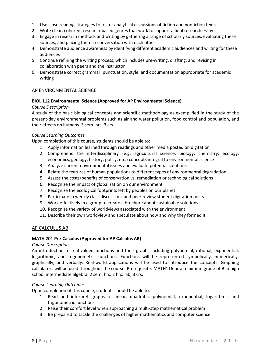- 1. Use close reading strategies to foster analytical discussions of fiction and nonfiction texts
- 2. Write clear, coherent research-based genres that work to support a final research essay
- 3. Engage in research methods and writing by gathering a range of scholarly sources, evaluating these sources, and placing them in conversation with each other
- 4. Demonstrate audience awareness by identifying different academic audiences and writing for these audiences
- 5. Continue refining the writing process, which includes pre-writing, drafting, and revising in collaboration with peers and the instructor
- 6. Demonstrate correct grammar, punctuation, style, and documentation appropriate for academic writing

#### AP ENVIRONMENTAL SCIENCE

#### **BIOL 112 Environmental Science (Approved for AP Environmental Science)**

#### *Course Description*

A study of the basic biological concepts and scientific methodology as exemplified in the study of the present-day environmental problems such as air and water pollution, food control and population, and their effects on humans. 3 sem. hrs. 3 crs.

#### *Course Learning Outcomes*

Upon completion of this course, students should be able to:

- 1. Apply information learned through readings and other media posted on digitation
- 2. Comprehend the interdisciplinary (e.g. agricultural science, biology, chemistry, ecology, economics, geology, history, policy, etc.) concepts integral to environmental science
- 3. Analyze current environmental issues and evaluate potential solutions
- 4. Relate the features of human populations to different types of environmental degradation
- 5. Assess the costs/benefits of conservation vs. remediation or technological solutions
- 6. Recognize the impact of globalization on our environment
- 7. Recognize the ecological footprints left by peoples on our planet
- 8. Participate in weekly class discussions and peer review student digitation posts
- 9. Work effectively in a group to create a brochure about sustainable solutions
- 10. Recognize the variety of worldviews associated with the environment
- 11. Describe their own worldview and speculate about how and why they formed it

#### AP CALCULUS AB

#### **MATH 201 Pre-Calculus (Approved for AP Calculus AB)**

#### *Course Description*

An introduction to real-valued functions and their graphs including polynomial, rational, exponential, logarithmic, and trigonometric functions. Functions will be represented symbolically, numerically, graphically, and verbally. Real-world applications will be used to introduce the concepts. Graphing calculators will be used throughout the course. Prerequisite: MATH116 or a minimum grade of B in high school intermediate algebra. 2 sem. hrs. 2 hrs. lab, 3 crs.

#### *Course Learning Outcomes*

- 1. Read and interpret graphs of linear, quadratic, polynomial, exponential, logarithmic and trigonometric functions
- 2. Raise their comfort level when approaching a multi-step mathematical problem
- 3. Be prepared to tackle the challenges of higher mathematics and computer science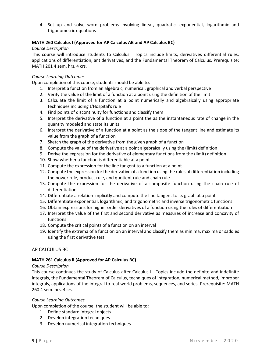4. Set up and solve word problems involving linear, quadratic, exponential, logarithmic and trigonometric equations

#### **MATH 260 Calculus I (Approved for AP Calculus AB and AP Calculus BC)**

#### *Course Description*

This course will introduce students to Calculus. Topics include limits, derivatives differential rules, applications of differentiation, antiderivatives, and the Fundamental Theorem of Calculus. Prerequisite: MATH 201 4 sem. hrs. 4 crs.

#### *Course Learning Outcomes*

Upon completion of this course, students should be able to:

- 1. Interpret a function from an algebraic, numerical, graphical and verbal perspective
- 2. Verify the value of the limit of a function at a point using the definition of the limit
- 3. Calculate the limit of a function at a point numerically and algebraically using appropriate techniques including L'Hospital's rule
- 4. Find points of discontinuity for functions and classify them
- 5. Interpret the derivative of a function at a point the as the instantaneous rate of change in the quantity modeled and state its units
- 6. Interpret the derivative of a function at a point as the slope of the tangent line and estimate its value from the graph of a function
- 7. Sketch the graph of the derivative from the given graph of a function
- 8. Compute the value of the derivative at a point algebraically using the (limit) definition
- 9. Derive the expression for the derivative of elementary functions from the (limit) definition
- 10. Show whether a function is differentiable at a point
- 11. Compute the expression for the line tangent to a function at a point
- 12. Compute the expression for the derivative of a function using the rules of differentiation including the power rule, product rule, and quotient rule and chain rule
- 13. Compute the expression for the derivative of a composite function using the chain rule of differentiation
- 14. Differentiate a relation implicitly and compute the line tangent to its graph at a point
- 15. Differentiate exponential, logarithmic, and trigonometric and inverse trigonometric functions
- 16. Obtain expressions for higher order derivatives of a function using the rules of differentiation
- 17. Interpret the value of the first and second derivative as measures of increase and concavity of functions
- 18. Compute the critical points of a function on an interval
- 19. Identify the extrema of a function on an interval and classify them as minima, maxima or saddles using the first derivative test

#### AP CALCULUS BC

#### **MATH 261 Calculus II (Approved for AP Calculus BC)**

#### *Course Description*

This course continues the study of Calculus after Calculus I. Topics include the definite and indefinite integrals, the Fundamental Theorem of Calculus, techniques of integration, numerical method, improper integrals, applications of the integral to real-world problems, sequences, and series. Prerequisite: MATH 260 4 sem. hrs. 4 crs.

#### *Course Learning Outcomes*

Upon completion of the course, the student will be able to:

- 1. Define standard integral objects
- 2. Develop integration techniques
- 3. Develop numerical integration techniques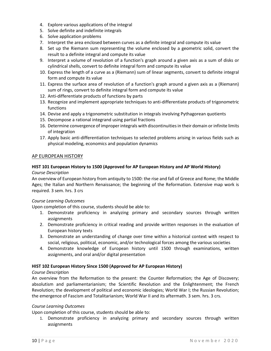- 4. Explore various applications of the integral
- 5. Solve definite and indefinite integrals
- 6. Solve application problems
- 7. Interpret the area enclosed between curves as a definite integral and compute its value
- 8. Set up the Riemann sum representing the volume enclosed by a geometric solid, convert the result to a definite integral and compute its value
- 9. Interpret a volume of revolution of a function's graph around a given axis as a sum of disks or cylindrical shells, convert to definite integral form and compute its value
- 10. Express the length of a curve as a (Riemann) sum of linear segments, convert to definite integral form and compute its value
- 11. Express the surface area of revolution of a function's graph around a given axis as a (Riemann) sum of rings, convert to definite integral form and compute its value
- 12. Anti-differentiate products of functions by parts
- 13. Recognize and implement appropriate techniques to anti-differentiate products of trigonometric functions
- 14. Devise and apply a trigonometric substitution in integrals involving Pythagorean quotients
- 15. Decompose a rational integrand using partial fractions
- 16. Determine convergence of improper integrals with discontinuities in their domain or infinite limits of integration
- 17. Apply basic anti-differentiation techniques to selected problems arising in various fields such as physical modeling, economics and population dynamics

#### AP EUROPEAN HISTORY

## **HIST 101 European History to 1500 (Approved for AP European History and AP World History)**

#### *Course Description*

An overview of European history from antiquity to 1500: the rise and fall of Greece and Rome; the Middle Ages; the Italian and Northern Renaissance; the beginning of the Reformation. Extensive map work is required. 3 sem. hrs. 3 crs

#### *Course Learning Outcomes*

Upon completion of this course, students should be able to:

- 1. Demonstrate proficiency in analyzing primary and secondary sources through written assignments
- 2. Demonstrate proficiency in critical reading and provide written responses in the evaluation of European history texts
- 3. Demonstrate an understanding of change over time within a historical context with respect to social, religious, political, economic, and/or technological forces among the various societies
- 4. Demonstrate knowledge of European history until 1500 through examinations, written assignments, and oral and/or digital presentation

#### **HIST 102 European History Since 1500 (Approved for AP European History)**

#### *Course Descripti*on

An overview from the Reformation to the present: the Counter Reformation; the Age of Discovery; absolutism and parliamentarianism; the Scientific Revolution and the Enlightenment; the French Revolution; the development of political and economic ideologies; World War I; the Russian Revolution; the emergence of Fascism and Totalitarianism; World War II and its aftermath. 3 sem. hrs. 3 crs.

#### *Course Learning Outcomes*

Upon completion of this course, students should be able to:

1. Demonstrate proficiency in analyzing primary and secondary sources through written assignments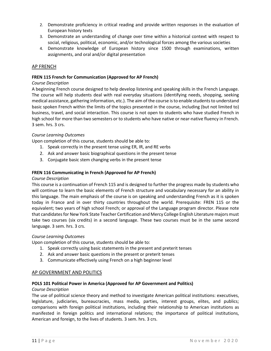- 2. Demonstrate proficiency in critical reading and provide written responses in the evaluation of European history texts
- 3. Demonstrate an understanding of change over time within a historical context with respect to social, religious, political, economic, and/or technological forces among the various societies
- 4. Demonstrate knowledge of European history since 1500 through examinations, written assignments, and oral and/or digital presentation

#### AP FRENCH

#### **FREN 115 French for Communication (Approved for AP French)**

#### *Course Description*

A beginning French course designed to help develop listening and speaking skills in the French Language. The course will help students deal with real everyday situations (identifying needs, shopping, seeking medical assistance, gathering information, etc.). The aim of the course is to enable students to understand basic spoken French within the limits of the topics presented in the course, including (but not limited to) business, travel, and social interaction. This course is not open to students who have studied French in high school for more than two semesters or to students who have native or near-native fluency in French. 3 sem. hrs. 3 crs.

#### *Course Learning Outcomes*

Upon completion of this course, students should be able to:

- 1. Speak correctly in the present tense using ER, IR, and RE verbs
- 2. Ask and answer basic biographical questions in the present tense
- 3. Conjugate basic stem changing verbs in the present tense

#### **FREN 116 Communicating in French (Approved for AP French)**

#### *Course Description*

This course is a continuation of French 115 and is designed to further the progress made by students who will continue to learn the basic elements of French structure and vocabulary necessary for an ability in this language. The main emphasis of the course is on speaking and understanding French as it is spoken today in France and in over thirty countries throughout the world. Prerequisite: FREN 115 or the equivalent; two years of high school French; or approval of the Language program director. Please note that candidates for New York State Teacher Certification and Mercy College English Literature majors must take two courses (six credits) in a second language. These two courses must be in the same second language. 3 sem. hrs. 3 crs.

#### *Course Learning Outcomes*

Upon completion of this course, students should be able to:

- 1. Speak correctly using basic statements in the present and preterit tenses
- 2. Ask and answer basic questions in the present or preterit tenses
- 3. Communicate effectively using French on a high beginner level

#### **AP GOVERNMENT AND POLITICS**

#### **POLS 101 Political Power in America (Approved for AP Government and Politics)**

#### *Course Description*

The use of political science theory and method to investigate American political institutions: executives, legislature, judiciaries, bureaucracies, mass media, parties, interest groups, elites, and publics; comparisons with foreign political institutions, including their relationship to American institutions as manifested in foreign politics and international relations; the importance of political institutions, American and foreign, to the lives of students. 3 sem. hrs. 3 crs.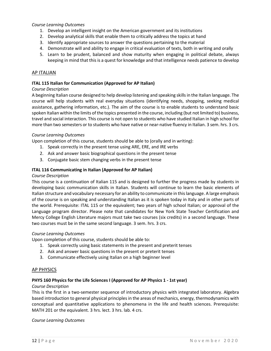#### *Course Learning Outcomes*

- 1. Develop an intelligent insight on the American government and its institutions
- 2. Develop analytical skills that enable them to critically address the topics at hand
- 3. Identify appropriate sources to answer the questions pertaining to the material
- 4. Demonstrate will and ability to engage in critical evaluation of texts, both in writing and orally
- 5. Learn to be prudent, balanced and show maturity when engaging in political debate, always keeping in mind that this is a quest for knowledge and that intelligence needs patience to develop

#### AP ITALIAN

#### **ITAL 115 Italian for Communication (Approved for AP Italian)**

#### *Course Description*

A beginning Italian course designed to help develop listening and speaking skills in the Italian language. The course will help students with real everyday situations (identifying needs, shopping, seeking medical assistance, gathering information, etc.). The aim of the course is to enable students to understand basic spoken Italian within the limits of the topics presented in the course, including (but not limited to) business, travel and social interaction. This course is not open to students who have studied Italian in high school for more than two semesters or to students who have native or near-native fluency in Italian. 3 sem. hrs. 3 crs.

#### *Course Learning Outcomes*

Upon completion of this course, students should be able to (orally and in writing):

- 1. Speak correctly in the present tense using ARE, ERE, and IRE verbs
- 2. Ask and answer basic biographical questions in the present tense
- 3. Conjugate basic stem changing verbs in the present tense

#### **ITAL 116 Communicating in Italian (Approved for AP Italian)**

#### *Course Description*

This course is a continuation of Italian 115 and is designed to further the progress made by students in developing basic communication skills in Italian. Students will continue to learn the basic elements of Italian structure and vocabulary necessary for an ability to communicate in this language. A large emphasis of the course is on speaking and understanding Italian as it is spoken today in Italy and in other parts of the world. Prerequisite: ITAL 115 or the equivalent; two years of high school Italian; or approval of the Language program director. Please note that candidates for New York State Teacher Certification and Mercy College English Literature majors must take two courses (six credits) in a second language. These two courses must be in the same second language. 3 sem. hrs. 3 crs.

#### *Course Learning Outcomes*

Upon completion of this course, students should be able to:

- 1. Speak correctly using basic statements in the present and preterit tenses
- 2. Ask and answer basic questions in the present or preterit tenses
- 3. Communicate effectively using Italian on a high beginner level

#### AP PHYSICS

#### **PHYS 160 Physics for the Life Sciences I (Approved for AP Physics 1 - 1st year)**

#### *Course Description*

This is the first in a two-semester sequence of introductory physics with integrated laboratory. Algebra based introduction to general physical principles in the areas of mechanics, energy, thermodynamics with conceptual and quantitative applications to phenomena in the life and health sciences. Prerequisite: MATH 201 or the equivalent. 3 hrs. lect. 3 hrs. lab. 4 crs.

*Course Learning Outcomes*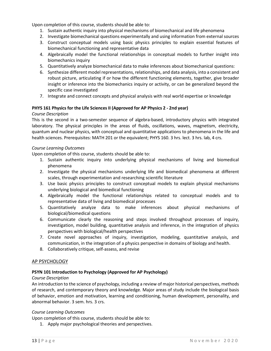Upon completion of this course, students should be able to:

- 1. Sustain authentic inquiry into physical mechanisms of biomechanical and life phenomena
- 2. Investigate biomechanical questions experimentally and using information from external sources
- 3. Construct conceptual models using basic physics principles to explain essential features of biomechanical functioning and representative data
- 4. Algebraically model the functional relationships in conceptual models to further insight into biomechanics inquiry
- 5. Quantitatively analyze biomechanical data to make inferences about biomechanical questions:
- 6. Synthesize different model representations, relationships, and data analysis, into a consistent and robust picture, articulating if or how the different functioning elements, together, give broader insight or inference into the biomechanics inquiry or activity, or can be generalized beyond the specific case investigated
- 7. Integrate and connect concepts and physical analysis with real world expertise or knowledge

#### **PHYS 161 Physics for the Life Sciences II (Approved for AP Physics 2 - 2nd year)**

#### *Course Description*

This is the second in a two-semester sequence of algebra-based, introductory physics with integrated laboratory. The physical principles in the areas of fluids, oscillations, waves, magnetism, electricity, quantum and nuclear physics, with conceptual and quantitative applications to phenomena in the life and health sciences. Prerequisites: MATH 201 or the equivalent; PHYS 160. 3 hrs. lect. 3 hrs. lab, 4 crs.

#### *Course Learning Outcomes*

Upon completion of this course, students should be able to:

- 1. Sustain authentic inquiry into underlying physical mechanisms of living and biomedical phenomena
- 2. Investigate the physical mechanisms underlying life and biomedical phenomena at different scales, through experimentation and researching scientific literature
- 3. Use basic physics principles to construct conceptual models to explain physical mechanisms underlying biological and biomedical functioning
- 4. Algebraically model the functional relationships related to conceptual models and to representative data of living and biomedical processes
- 5. Quantitatively analyze data to make inferences about physical mechanisms of biological/biomedical questions
- 6. Communicate clearly the reasoning and steps involved throughout processes of inquiry, investigation, model building, quantitative analysis and inference, in the integration of physics perspectives with biological/health perspectives
- 7. Create novel approaches of inquiry, investigation, modeling, quantitative analysis, and communication, in the integration of a physics perspective in domains of biology and health.
- 8. Collaboratively critique, self-assess, and revise

#### AP PSYCHOLOGY

#### **PSYN 101 Introduction to Psychology (Approved for AP Psychology)**

#### *Course Description*

An introduction to the science of psychology, including a review of major historical perspectives, methods of research, and contemporary theory and knowledge. Major areas of study include the biological basis of behavior, emotion and motivation, learning and conditioning, human development, personality, and abnormal behavior. 3 sem. hrs. 3 crs.

#### *Course Learning Outcomes*

Upon completion of this course, students should be able to:

1. Apply major psychological theories and perspectives.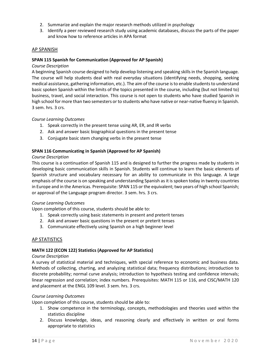- 2. Summarize and explain the major research methods utilized in psychology
- 3. Identify a peer reviewed research study using academic databases, discuss the parts of the paper and know how to reference articles in APA format

#### AP SPANISH

#### **SPAN 115 Spanish for Communication (Approved for AP Spanish)**

#### *Course Description*

A beginning Spanish course designed to help develop listening and speaking skills in the Spanish language. The course will help students deal with real everyday situations (identifying needs, shopping, seeking medical assistance, gathering information, etc.). The aim of the course is to enable students to understand basic spoken Spanish within the limits of the topics presented in the course, including (but not limited to) business, travel, and social interaction. This course is not open to students who have studied Spanish in high school for more than two semesters or to students who have native or near-native fluency in Spanish. 3 sem. hrs. 3 crs.

#### *Course Learning Outcomes*

- 1. Speak correctly in the present tense using AR, ER, and IR verbs
- 2. Ask and answer basic biographical questions in the present tense
- 3. Conjugate basic stem changing verbs in the present tense

#### **SPAN 116 Communicating in Spanish (Approved for AP Spanish)**

#### *Course Description*

This course is a continuation of Spanish 115 and is designed to further the progress made by students in developing basic communication skills in Spanish. Students will continue to learn the basic elements of Spanish structure and vocabulary necessary for an ability to communicate in this language. A large emphasis of the course is on speaking and understanding Spanish as it is spoken today in twenty countries in Europe and in the Americas. Prerequisite: SPAN 115 or the equivalent; two years of high school Spanish; or approval of the Language program director. 3 sem. hrs. 3 crs.

#### *Course Learning Outcomes*

Upon completion of this course, students should be able to:

- 1. Speak correctly using basic statements in present and preterit tenses
- 2. Ask and answer basic questions in the present or preterit tenses
- 3. Communicate effectively using Spanish on a high beginner level

#### AP STATISTICS

#### **MATH 122 (ECON 122) Statistics (Approved for AP Statistics)**

#### *Course Description*

A survey of statistical material and techniques, with special reference to economic and business data. Methods of collecting, charting, and analyzing statistical data; frequency distributions; introduction to discrete probability; normal curve analysis; introduction to hypothesis testing and confidence intervals; linear regression and correlation; index numbers. Prerequisites: MATH 115 or 116, and CISC/MATH 120 and placement at the ENGL 109 level. 3 sem. hrs. 3 crs.

#### *Course Learning Outcomes*

- 1. Show competence in the terminology, concepts, methodologies and theories used within the statistics discipline
- 2. Discuss knowledge, ideas, and reasoning clearly and effectively in written or oral forms appropriate to statistics